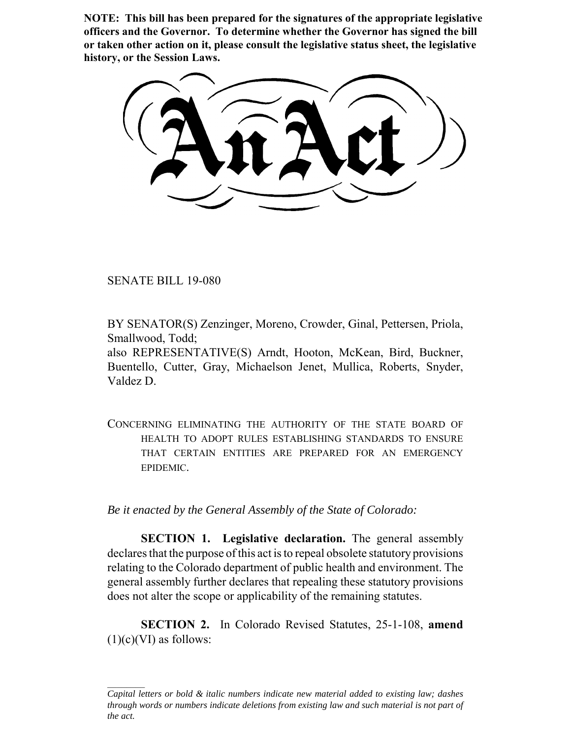**NOTE: This bill has been prepared for the signatures of the appropriate legislative officers and the Governor. To determine whether the Governor has signed the bill or taken other action on it, please consult the legislative status sheet, the legislative history, or the Session Laws.**

SENATE BILL 19-080

BY SENATOR(S) Zenzinger, Moreno, Crowder, Ginal, Pettersen, Priola, Smallwood, Todd;

also REPRESENTATIVE(S) Arndt, Hooton, McKean, Bird, Buckner, Buentello, Cutter, Gray, Michaelson Jenet, Mullica, Roberts, Snyder, Valdez D.

CONCERNING ELIMINATING THE AUTHORITY OF THE STATE BOARD OF HEALTH TO ADOPT RULES ESTABLISHING STANDARDS TO ENSURE THAT CERTAIN ENTITIES ARE PREPARED FOR AN EMERGENCY EPIDEMIC.

*Be it enacted by the General Assembly of the State of Colorado:*

**SECTION 1. Legislative declaration.** The general assembly declares that the purpose of this act is to repeal obsolete statutory provisions relating to the Colorado department of public health and environment. The general assembly further declares that repealing these statutory provisions does not alter the scope or applicability of the remaining statutes.

**SECTION 2.** In Colorado Revised Statutes, 25-1-108, **amend**  $(1)(c)(VI)$  as follows:

*Capital letters or bold & italic numbers indicate new material added to existing law; dashes through words or numbers indicate deletions from existing law and such material is not part of the act.*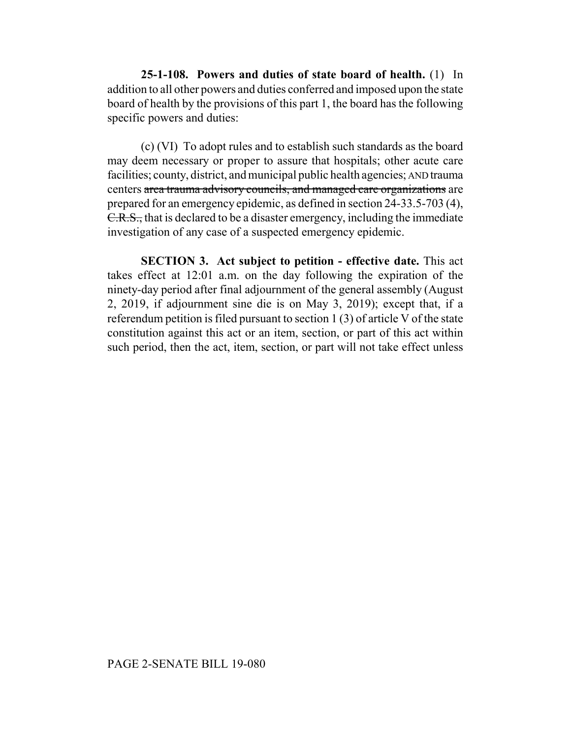**25-1-108. Powers and duties of state board of health.** (1) In addition to all other powers and duties conferred and imposed upon the state board of health by the provisions of this part 1, the board has the following specific powers and duties:

(c) (VI) To adopt rules and to establish such standards as the board may deem necessary or proper to assure that hospitals; other acute care facilities; county, district, and municipal public health agencies; AND trauma centers area trauma advisory councils, and managed care organizations are prepared for an emergency epidemic, as defined in section 24-33.5-703 (4), C.R.S., that is declared to be a disaster emergency, including the immediate investigation of any case of a suspected emergency epidemic.

**SECTION 3. Act subject to petition - effective date.** This act takes effect at 12:01 a.m. on the day following the expiration of the ninety-day period after final adjournment of the general assembly (August 2, 2019, if adjournment sine die is on May 3, 2019); except that, if a referendum petition is filed pursuant to section 1 (3) of article V of the state constitution against this act or an item, section, or part of this act within such period, then the act, item, section, or part will not take effect unless